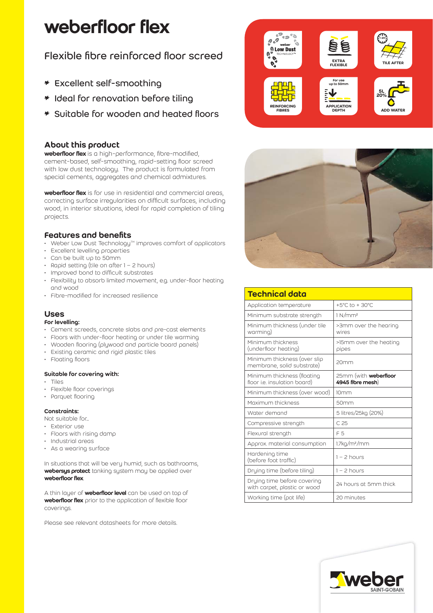# weberfloor flex

# Flexible fibre reinforced floor screed

- \* Excellent self-smoothing
- \* Ideal for renovation before tiling
- \* Suitable for wooden and heated floors

# About this product

weberfloor flex is a high-performance, fibre-modified, cement-based, self-smoothing, rapid-setting floor screed with low dust technology. The product is formulated from special cements, aggregates and chemical admixtures.

weberfloor flex is for use in residential and commercial areas, correcting surface irregularities on difficult surfaces, including wood, in interior situations, ideal for rapid completion of tiling projects.

# Features and benefits

- $\cdot$  Weber Low Dust Technology<sup> $M$ </sup> improves comfort of applicators
- Excellent levelling properties
- Can be built up to 50mm
- Rapid setting (tile on after 1 2 hours)
- Improved bond to difficult substrates
- Flexibility to absorb limited movement, e.g. under-floor heating and wood
- Fibre-modified for increased resilience

# Uses

#### For levelling:

- Cement screeds, concrete slabs and pre-cast elements
- Floors with under-floor heating or under tile warming
- Wooden flooring (plywood and particle board panels)
- Existing ceramic and rigid plastic tiles
- Floating floors

#### Suitable for covering with:

- Tiles
- Flexible floor coverings
- Parquet flooring

#### Constraints:

- Not suitable for...
- Exterior use
- Floors with rising damp
- Industrial areas
- As a wearing surface

weberfloor flex. In situations that will be very humid, such as bathrooms, webersys protect tanking system may be applied over

A thin layer of **weberfloor level** can be used on top of weberfloor flex prior to the application of flexible floor coverings.

Please see relevant datasheets for more details.





| <b>Technical data</b>                                       |                                                  |
|-------------------------------------------------------------|--------------------------------------------------|
| Application temperature                                     | $+5^{\circ}$ C to $+30^{\circ}$ C                |
| Minimum substrate strength                                  | 1 N/mm <sup>2</sup>                              |
| Minimum thickness (under tile<br>warming)                   | >3mm over the hearing<br>wires                   |
| Minimum thickness<br>(underfloor heating)                   | >15mm over the heating<br>pipes                  |
| Minimum thickness (over slip<br>membrane, solid substrate)  | 20mm                                             |
| Minimum thickness (floating<br>floor i.e. insulation board) | 25mm (with <b>weberfloor</b><br>4945 fibre mesh) |
| Minimum thickness (over wood)                               | 10 <sub>mm</sub>                                 |
| Maximum thickness                                           | 50mm                                             |
| Water demand                                                | 5 litres/25kg (20%)                              |
| Compressive strength                                        | C.25                                             |
| Flexural strength                                           | F.5                                              |
| Approx. material consumption                                | 1.7kg/m <sup>2</sup> /mm                         |
| Hardening time<br>(before foot traffic)                     | $1 - 2$ hours                                    |
| Drying time (before tiling)                                 | $1 - 2$ hours                                    |
| Drying time before covering<br>with carpet, plastic or wood | 24 hours at 5mm thick                            |
| Working time (pot life)                                     | 20 minutes                                       |